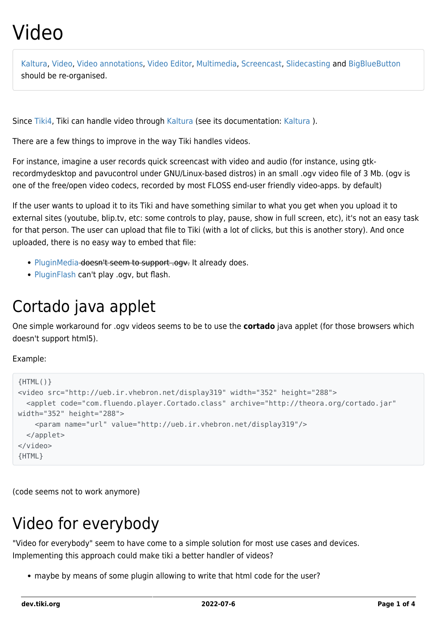# Video

[Kaltura](https://dev.tiki.org/Kaltura), [Video,](https://dev.tiki.org/Video) [Video annotations,](https://dev.tiki.org/Video-annotations) [Video Editor](https://dev.tiki.org/Video-Editor), [Multimedia,](https://dev.tiki.org/MultiMedia) [Screencast,](https://dev.tiki.org/Screencast) [Slidecasting](https://dev.tiki.org/Slidecasting) and [BigBlueButton](https://dev.tiki.org/BigBlueButton) should be re-organised.

Since [Tiki4,](http://doc.tiki.org/Tiki4) Tiki can handle video through [Kaltura](https://dev.tiki.org/Kaltura) (see its documentation: [Kaltura](http://doc.tiki.org/Kaltura) ).

There are a few things to improve in the way Tiki handles videos.

For instance, imagine a user records quick screencast with video and audio (for instance, using gtkrecordmydesktop and pavucontrol under GNU/Linux-based distros) in an small .ogv video file of 3 Mb. (ogv is one of the free/open video codecs, recorded by most FLOSS end-user friendly video-apps. by default)

If the user wants to upload it to its Tiki and have something similar to what you get when you upload it to external sites (youtube, blip.tv, etc: some controls to play, pause, show in full screen, etc), it's not an easy task for that person. The user can upload that file to Tiki (with a lot of clicks, but this is another story). And once uploaded, there is no easy way to embed that file:

- [PluginMedia](http://doc.tiki.org/PluginMedia) doesn't seem to support .ogy. It already does.
- [PluginFlash](http://doc.tiki.org/PluginFlash) can't play .ogv, but flash.

## Cortado java applet

One simple workaround for .ogv videos seems to be to use the **cortado** java applet (for those browsers which doesn't support html5).

#### Example:

```
{HTML()}
<video src="http://ueb.ir.vhebron.net/display319" width="352" height="288">
   <applet code="com.fluendo.player.Cortado.class" archive="http://theora.org/cortado.jar"
width="352" height="288">
     <param name="url" value="http://ueb.ir.vhebron.net/display319"/>
   </applet>
</video>
{HTML}
```
(code seems not to work anymore)

# Video for everybody

"Video for everybody" seem to have come to a simple solution for most use cases and devices. Implementing this approach could make tiki a better handler of videos?

maybe by means of some plugin allowing to write that html code for the user?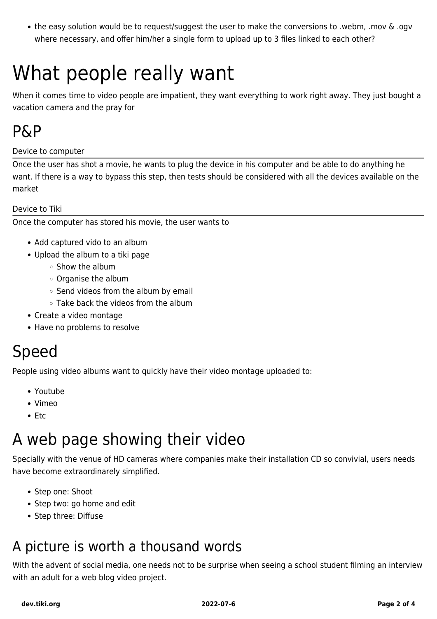the easy solution would be to request/suggest the user to make the conversions to .webm, .mov & .ogv where necessary, and offer him/her a single form to upload up to 3 files linked to each other?

# What people really want

When it comes time to video people are impatient, they want everything to work right away. They just bought a vacation camera and the pray for

### P&P

Device to computer

Once the user has shot a movie, he wants to plug the device in his computer and be able to do anything he want. If there is a way to bypass this step, then tests should be considered with all the devices available on the market

Device to Tiki

Once the computer has stored his movie, the user wants to

- Add captured vido to an album
- Upload the album to a tiki page
	- $\circ$  Show the album
	- Organise the album
	- $\circ$  Send videos from the album by email
	- Take back the videos from the album
- Create a video montage
- Have no problems to resolve

### Speed

People using video albums want to quickly have their video montage uploaded to:

- Youtube
- Vimeo
- $\bullet$  Ftc

## A web page showing their video

Specially with the venue of HD cameras where companies make their installation CD so convivial, users needs have become extraordinarely simplified.

- Step one: Shoot
- Step two: go home and edit
- Step three: Diffuse

### A picture is worth a thousand words

With the advent of social media, one needs not to be surprise when seeing a school student filming an interview with an adult for a web blog video project.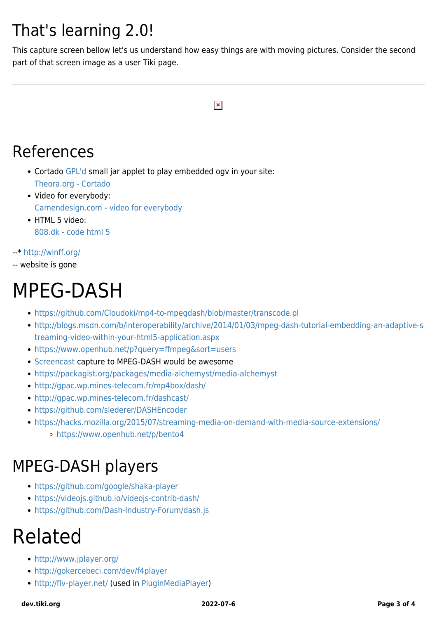# That's learning 2.0!

This capture screen bellow let's us understand how easy things are with moving pictures. Consider the second part of that screen image as a user Tiki page.

#### $\pmb{\times}$

### References

- Cortado [GPL'd](http://git.xiph.org/?p=cortado.git;a=blob_plain;f=LICENSE.cortado) small jar applet to play embedded ogv in your site: [Theora.org - Cortado](http://www.theora.org/cortado/)
- Video for everybody: [Camendesign.com - video for everybody](http://camendesign.com/code/video_for_everybody)
- HTML 5 video: [808.dk - code html 5](http://www.808.dk/?code-html-5-video)

#### --\*<http://winff.org/>

-- website is gone

# MPEG-DASH

- <https://github.com/Cloudoki/mp4-to-mpegdash/blob/master/transcode.pl>
- [http://blogs.msdn.com/b/interoperability/archive/2014/01/03/mpeg-dash-tutorial-embedding-an-adaptive-s](http://blogs.msdn.com/b/interoperability/archive/2014/01/03/mpeg-dash-tutorial-embedding-an-adaptive-streaming-video-within-your-html5-application.aspx) [treaming-video-within-your-html5-application.aspx](http://blogs.msdn.com/b/interoperability/archive/2014/01/03/mpeg-dash-tutorial-embedding-an-adaptive-streaming-video-within-your-html5-application.aspx)
- <https://www.openhub.net/p?query=ffmpeg&sort=users>
- [Screencast](https://dev.tiki.org/Screencast) capture to MPEG-DASH would be awesome
- <https://packagist.org/packages/media-alchemyst/media-alchemyst>
- <http://gpac.wp.mines-telecom.fr/mp4box/dash/>
- <http://gpac.wp.mines-telecom.fr/dashcast/>
- <https://github.com/slederer/DASHEncoder>
- <https://hacks.mozilla.org/2015/07/streaming-media-on-demand-with-media-source-extensions/>
	- <https://www.openhub.net/p/bento4>

## MPEG-DASH players

- <https://github.com/google/shaka-player>
- <https://videojs.github.io/videojs-contrib-dash/>
- <https://github.com/Dash-Industry-Forum/dash.js>

# Related

- <http://www.jplayer.org/>
- <http://gokercebeci.com/dev/f4player>
- <http://flv-player.net/>(used in [PluginMediaPlayer\)](http://doc.tiki.org/PluginMediaPlayer)